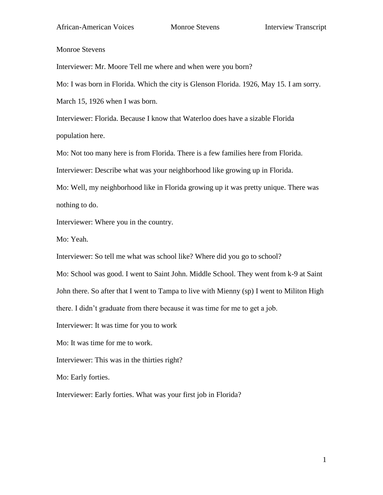Monroe Stevens

Interviewer: Mr. Moore Tell me where and when were you born?

Mo: I was born in Florida. Which the city is Glenson Florida. 1926, May 15. I am sorry.

March 15, 1926 when I was born.

Interviewer: Florida. Because I know that Waterloo does have a sizable Florida population here.

Mo: Not too many here is from Florida. There is a few families here from Florida.

Interviewer: Describe what was your neighborhood like growing up in Florida.

Mo: Well, my neighborhood like in Florida growing up it was pretty unique. There was nothing to do.

Interviewer: Where you in the country.

Mo: Yeah.

Interviewer: So tell me what was school like? Where did you go to school?

Mo: School was good. I went to Saint John. Middle School. They went from k-9 at Saint

John there. So after that I went to Tampa to live with Mienny (sp) I went to Militon High

there. I didn't graduate from there because it was time for me to get a job.

Interviewer: It was time for you to work

Mo: It was time for me to work.

Interviewer: This was in the thirties right?

Mo: Early forties.

Interviewer: Early forties. What was your first job in Florida?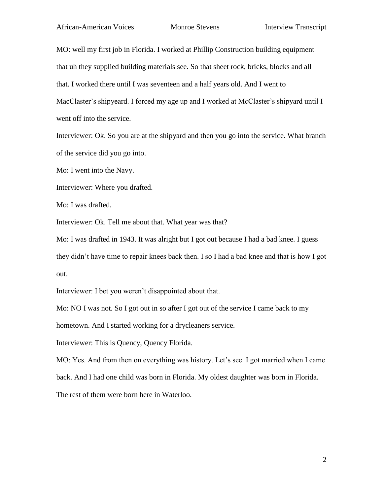MO: well my first job in Florida. I worked at Phillip Construction building equipment that uh they supplied building materials see. So that sheet rock, bricks, blocks and all that. I worked there until I was seventeen and a half years old. And I went to MacClaster's shipyeard. I forced my age up and I worked at McClaster's shipyard until I went off into the service.

Interviewer: Ok. So you are at the shipyard and then you go into the service. What branch of the service did you go into.

Mo: I went into the Navy.

Interviewer: Where you drafted.

Mo: I was drafted.

Interviewer: Ok. Tell me about that. What year was that?

Mo: I was drafted in 1943. It was alright but I got out because I had a bad knee. I guess they didn't have time to repair knees back then. I so I had a bad knee and that is how I got out.

Interviewer: I bet you weren't disappointed about that.

Mo: NO I was not. So I got out in so after I got out of the service I came back to my

hometown. And I started working for a drycleaners service.

Interviewer: This is Quency, Quency Florida.

MO: Yes. And from then on everything was history. Let's see. I got married when I came back. And I had one child was born in Florida. My oldest daughter was born in Florida.

The rest of them were born here in Waterloo.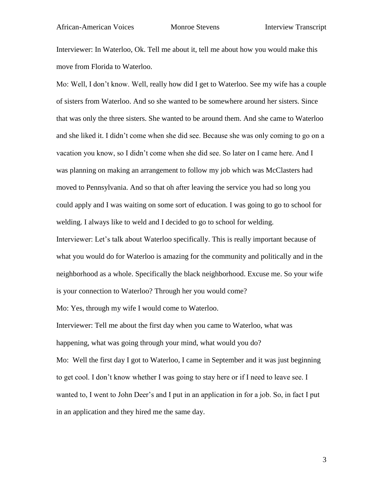Interviewer: In Waterloo, Ok. Tell me about it, tell me about how you would make this move from Florida to Waterloo.

Mo: Well, I don't know. Well, really how did I get to Waterloo. See my wife has a couple of sisters from Waterloo. And so she wanted to be somewhere around her sisters. Since that was only the three sisters. She wanted to be around them. And she came to Waterloo and she liked it. I didn't come when she did see. Because she was only coming to go on a vacation you know, so I didn't come when she did see. So later on I came here. And I was planning on making an arrangement to follow my job which was McClasters had moved to Pennsylvania. And so that oh after leaving the service you had so long you could apply and I was waiting on some sort of education. I was going to go to school for welding. I always like to weld and I decided to go to school for welding.

Interviewer: Let's talk about Waterloo specifically. This is really important because of what you would do for Waterloo is amazing for the community and politically and in the neighborhood as a whole. Specifically the black neighborhood. Excuse me. So your wife is your connection to Waterloo? Through her you would come?

Mo: Yes, through my wife I would come to Waterloo.

Interviewer: Tell me about the first day when you came to Waterloo, what was happening, what was going through your mind, what would you do? Mo: Well the first day I got to Waterloo, I came in September and it was just beginning to get cool. I don't know whether I was going to stay here or if I need to leave see. I wanted to, I went to John Deer's and I put in an application in for a job. So, in fact I put in an application and they hired me the same day.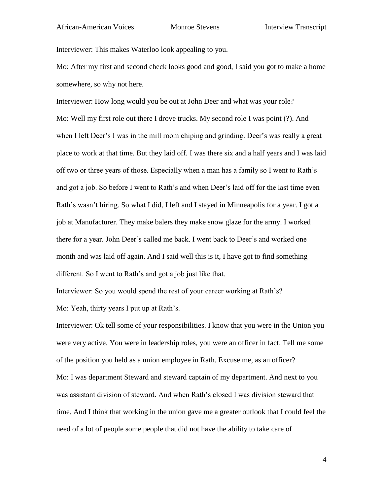Interviewer: This makes Waterloo look appealing to you.

Mo: After my first and second check looks good and good, I said you got to make a home somewhere, so why not here.

Interviewer: How long would you be out at John Deer and what was your role? Mo: Well my first role out there I drove trucks. My second role I was point (?). And when I left Deer's I was in the mill room chiping and grinding. Deer's was really a great place to work at that time. But they laid off. I was there six and a half years and I was laid off two or three years of those. Especially when a man has a family so I went to Rath's and got a job. So before I went to Rath's and when Deer's laid off for the last time even Rath's wasn't hiring. So what I did, I left and I stayed in Minneapolis for a year. I got a job at Manufacturer. They make balers they make snow glaze for the army. I worked there for a year. John Deer's called me back. I went back to Deer's and worked one month and was laid off again. And I said well this is it, I have got to find something different. So I went to Rath's and got a job just like that.

Interviewer: So you would spend the rest of your career working at Rath's? Mo: Yeah, thirty years I put up at Rath's.

Interviewer: Ok tell some of your responsibilities. I know that you were in the Union you were very active. You were in leadership roles, you were an officer in fact. Tell me some of the position you held as a union employee in Rath. Excuse me, as an officer? Mo: I was department Steward and steward captain of my department. And next to you was assistant division of steward. And when Rath's closed I was division steward that time. And I think that working in the union gave me a greater outlook that I could feel the need of a lot of people some people that did not have the ability to take care of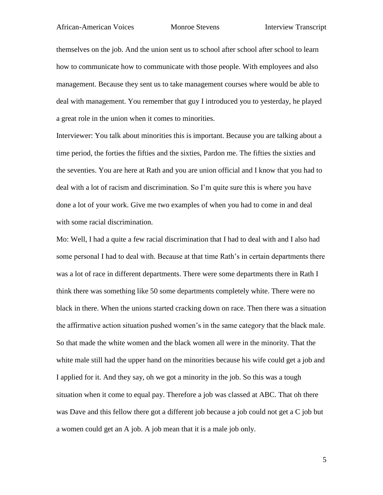## African-American Voices Monroe Stevens Interview Transcript

themselves on the job. And the union sent us to school after school after school to learn how to communicate how to communicate with those people. With employees and also management. Because they sent us to take management courses where would be able to deal with management. You remember that guy I introduced you to yesterday, he played a great role in the union when it comes to minorities.

Interviewer: You talk about minorities this is important. Because you are talking about a time period, the forties the fifties and the sixties, Pardon me. The fifties the sixties and the seventies. You are here at Rath and you are union official and I know that you had to deal with a lot of racism and discrimination. So I'm quite sure this is where you have done a lot of your work. Give me two examples of when you had to come in and deal with some racial discrimination.

Mo: Well, I had a quite a few racial discrimination that I had to deal with and I also had some personal I had to deal with. Because at that time Rath's in certain departments there was a lot of race in different departments. There were some departments there in Rath I think there was something like 50 some departments completely white. There were no black in there. When the unions started cracking down on race. Then there was a situation the affirmative action situation pushed women's in the same category that the black male. So that made the white women and the black women all were in the minority. That the white male still had the upper hand on the minorities because his wife could get a job and I applied for it. And they say, oh we got a minority in the job. So this was a tough situation when it come to equal pay. Therefore a job was classed at ABC. That oh there was Dave and this fellow there got a different job because a job could not get a C job but a women could get an A job. A job mean that it is a male job only.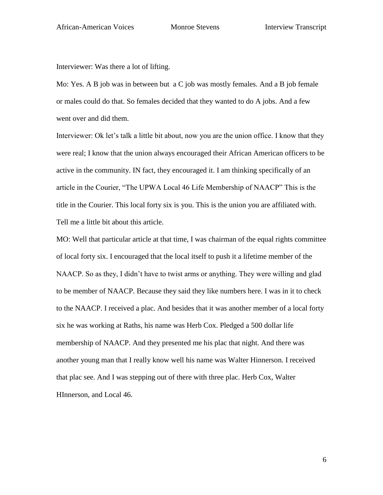Interviewer: Was there a lot of lifting.

Mo: Yes. A B job was in between but a C job was mostly females. And a B job female or males could do that. So females decided that they wanted to do A jobs. And a few went over and did them.

Interviewer: Ok let's talk a little bit about, now you are the union office. I know that they were real; I know that the union always encouraged their African American officers to be active in the community. IN fact, they encouraged it. I am thinking specifically of an article in the Courier, "The UPWA Local 46 Life Membership of NAACP" This is the title in the Courier. This local forty six is you. This is the union you are affiliated with. Tell me a little bit about this article.

MO: Well that particular article at that time, I was chairman of the equal rights committee of local forty six. I encouraged that the local itself to push it a lifetime member of the NAACP. So as they, I didn't have to twist arms or anything. They were willing and glad to be member of NAACP. Because they said they like numbers here. I was in it to check to the NAACP. I received a plac. And besides that it was another member of a local forty six he was working at Raths, his name was Herb Cox. Pledged a 500 dollar life membership of NAACP. And they presented me his plac that night. And there was another young man that I really know well his name was Walter Hinnerson. I received that plac see. And I was stepping out of there with three plac. Herb Cox, Walter HInnerson, and Local 46.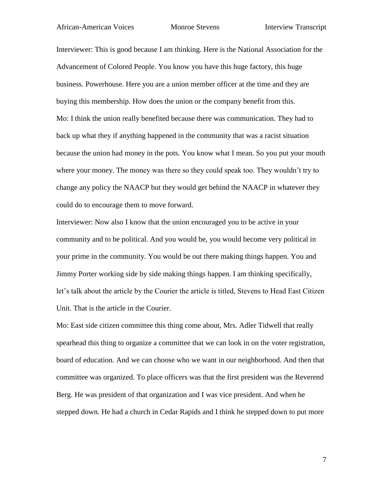# African-American Voices Monroe Stevens Interview Transcript

Interviewer: This is good because I am thinking. Here is the National Association for the Advancement of Colored People. You know you have this huge factory, this huge business. Powerhouse. Here you are a union member officer at the time and they are buying this membership. How does the union or the company benefit from this. Mo: I think the union really benefited because there was communication. They had to back up what they if anything happened in the community that was a racist situation because the union had money in the pots. You know what I mean. So you put your mouth where your money. The money was there so they could speak too. They wouldn't try to change any policy the NAACP but they would get behind the NAACP in whatever they could do to encourage them to move forward.

Interviewer: Now also I know that the union encouraged you to be active in your community and to be political. And you would be, you would become very political in your prime in the community. You would be out there making things happen. You and Jimmy Porter working side by side making things happen. I am thinking specifically, let's talk about the article by the Courier the article is titled, Stevens to Head East Citizen Unit. That is the article in the Courier.

Mo: East side citizen committee this thing come about, Mrs. Adler Tidwell that really spearhead this thing to organize a committee that we can look in on the voter registration, board of education. And we can choose who we want in our neighborhood. And then that committee was organized. To place officers was that the first president was the Reverend Berg. He was president of that organization and I was vice president. And when he stepped down. He had a church in Cedar Rapids and I think he stepped down to put more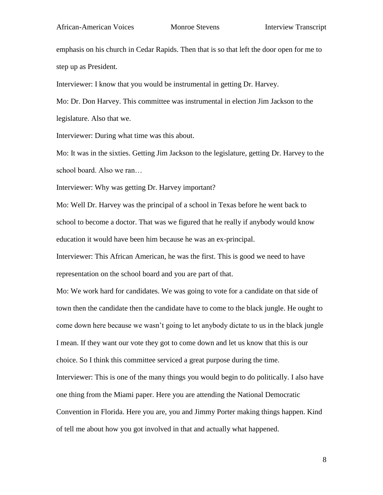emphasis on his church in Cedar Rapids. Then that is so that left the door open for me to step up as President.

Interviewer: I know that you would be instrumental in getting Dr. Harvey.

Mo: Dr. Don Harvey. This committee was instrumental in election Jim Jackson to the legislature. Also that we.

Interviewer: During what time was this about.

Mo: It was in the sixties. Getting Jim Jackson to the legislature, getting Dr. Harvey to the school board. Also we ran…

Interviewer: Why was getting Dr. Harvey important?

Mo: Well Dr. Harvey was the principal of a school in Texas before he went back to school to become a doctor. That was we figured that he really if anybody would know education it would have been him because he was an ex-principal.

Interviewer: This African American, he was the first. This is good we need to have representation on the school board and you are part of that.

Mo: We work hard for candidates. We was going to vote for a candidate on that side of town then the candidate then the candidate have to come to the black jungle. He ought to come down here because we wasn't going to let anybody dictate to us in the black jungle I mean. If they want our vote they got to come down and let us know that this is our choice. So I think this committee serviced a great purpose during the time. Interviewer: This is one of the many things you would begin to do politically. I also have one thing from the Miami paper. Here you are attending the National Democratic Convention in Florida. Here you are, you and Jimmy Porter making things happen. Kind of tell me about how you got involved in that and actually what happened.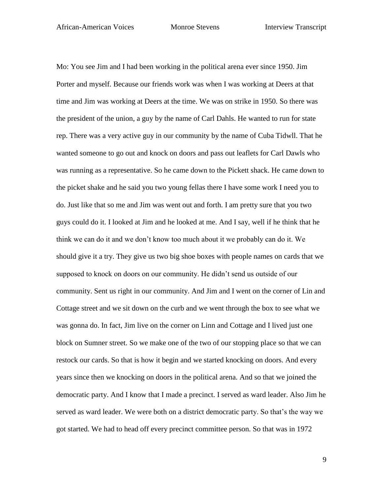Mo: You see Jim and I had been working in the political arena ever since 1950. Jim Porter and myself. Because our friends work was when I was working at Deers at that time and Jim was working at Deers at the time. We was on strike in 1950. So there was the president of the union, a guy by the name of Carl Dahls. He wanted to run for state rep. There was a very active guy in our community by the name of Cuba Tidwll. That he wanted someone to go out and knock on doors and pass out leaflets for Carl Dawls who was running as a representative. So he came down to the Pickett shack. He came down to the picket shake and he said you two young fellas there I have some work I need you to do. Just like that so me and Jim was went out and forth. I am pretty sure that you two guys could do it. I looked at Jim and he looked at me. And I say, well if he think that he think we can do it and we don't know too much about it we probably can do it. We should give it a try. They give us two big shoe boxes with people names on cards that we supposed to knock on doors on our community. He didn't send us outside of our community. Sent us right in our community. And Jim and I went on the corner of Lin and Cottage street and we sit down on the curb and we went through the box to see what we was gonna do. In fact, Jim live on the corner on Linn and Cottage and I lived just one block on Sumner street. So we make one of the two of our stopping place so that we can restock our cards. So that is how it begin and we started knocking on doors. And every years since then we knocking on doors in the political arena. And so that we joined the democratic party. And I know that I made a precinct. I served as ward leader. Also Jim he served as ward leader. We were both on a district democratic party. So that's the way we got started. We had to head off every precinct committee person. So that was in 1972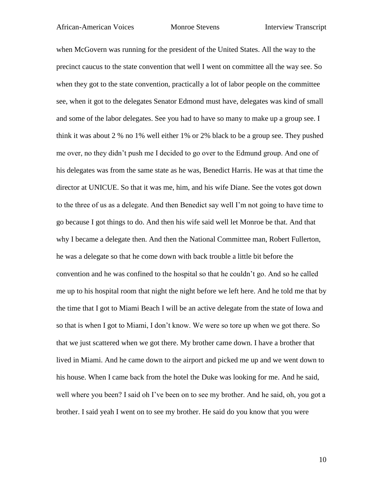# African-American Voices Monroe Stevens Interview Transcript

when McGovern was running for the president of the United States. All the way to the precinct caucus to the state convention that well I went on committee all the way see. So when they got to the state convention, practically a lot of labor people on the committee see, when it got to the delegates Senator Edmond must have, delegates was kind of small and some of the labor delegates. See you had to have so many to make up a group see. I think it was about 2 % no 1% well either 1% or 2% black to be a group see. They pushed me over, no they didn't push me I decided to go over to the Edmund group. And one of his delegates was from the same state as he was, Benedict Harris. He was at that time the director at UNICUE. So that it was me, him, and his wife Diane. See the votes got down to the three of us as a delegate. And then Benedict say well I'm not going to have time to go because I got things to do. And then his wife said well let Monroe be that. And that why I became a delegate then. And then the National Committee man, Robert Fullerton, he was a delegate so that he come down with back trouble a little bit before the convention and he was confined to the hospital so that he couldn't go. And so he called me up to his hospital room that night the night before we left here. And he told me that by the time that I got to Miami Beach I will be an active delegate from the state of Iowa and so that is when I got to Miami, I don't know. We were so tore up when we got there. So that we just scattered when we got there. My brother came down. I have a brother that lived in Miami. And he came down to the airport and picked me up and we went down to his house. When I came back from the hotel the Duke was looking for me. And he said, well where you been? I said oh I've been on to see my brother. And he said, oh, you got a brother. I said yeah I went on to see my brother. He said do you know that you were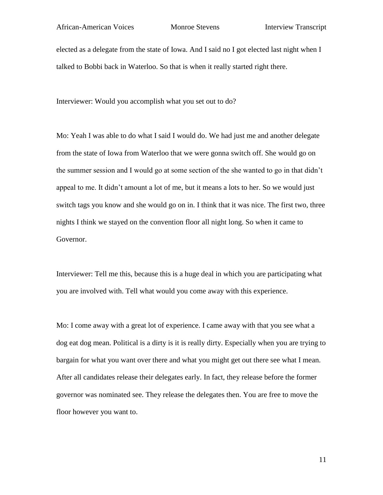elected as a delegate from the state of Iowa. And I said no I got elected last night when I talked to Bobbi back in Waterloo. So that is when it really started right there.

Interviewer: Would you accomplish what you set out to do?

Mo: Yeah I was able to do what I said I would do. We had just me and another delegate from the state of Iowa from Waterloo that we were gonna switch off. She would go on the summer session and I would go at some section of the she wanted to go in that didn't appeal to me. It didn't amount a lot of me, but it means a lots to her. So we would just switch tags you know and she would go on in. I think that it was nice. The first two, three nights I think we stayed on the convention floor all night long. So when it came to Governor.

Interviewer: Tell me this, because this is a huge deal in which you are participating what you are involved with. Tell what would you come away with this experience.

Mo: I come away with a great lot of experience. I came away with that you see what a dog eat dog mean. Political is a dirty is it is really dirty. Especially when you are trying to bargain for what you want over there and what you might get out there see what I mean. After all candidates release their delegates early. In fact, they release before the former governor was nominated see. They release the delegates then. You are free to move the floor however you want to.